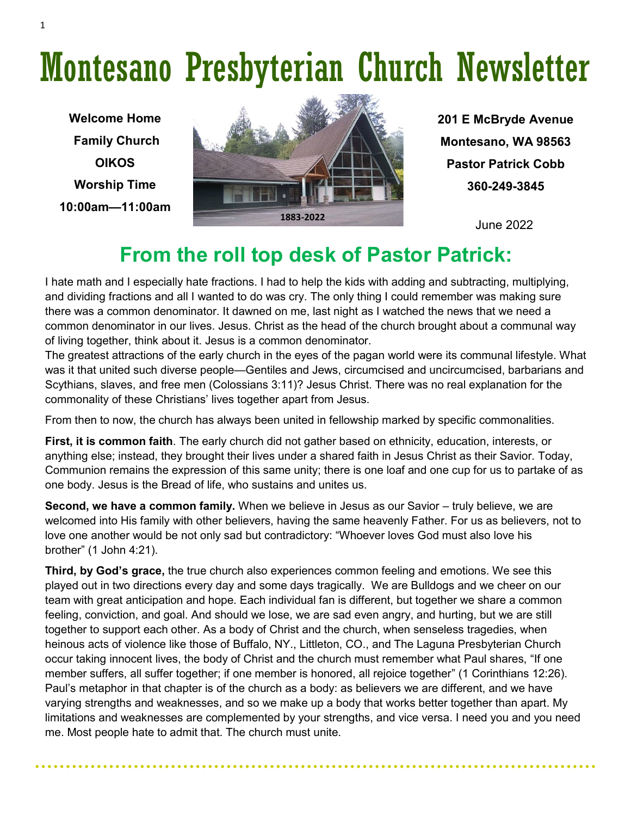# Montesano Presbyterian Church Newsletter

**Welcome Home Family Church OIKOS Worship Time 10:00am—11:00am**



**201 E McBryde Avenue Montesano, WA 98563 Pastor Patrick Cobb 360-249-3845**

### **From the roll top desk of Pastor Patrick:**

I hate math and I especially hate fractions. I had to help the kids with adding and subtracting, multiplying, and dividing fractions and all I wanted to do was cry. The only thing I could remember was making sure there was a common denominator. It dawned on me, last night as I watched the news that we need a common denominator in our lives. Jesus. Christ as the head of the church brought about a communal way of living together, think about it. Jesus is a common denominator.

The greatest attractions of the early church in the eyes of the pagan world were its communal lifestyle. What was it that united such diverse people—Gentiles and Jews, circumcised and uncircumcised, barbarians and Scythians, slaves, and free men (Colossians 3:11)? Jesus Christ. There was no real explanation for the commonality of these Christians' lives together apart from Jesus.

From then to now, the church has always been united in fellowship marked by specific commonalities.

**First, it is common faith**. The early church did not gather based on ethnicity, education, interests, or anything else; instead, they brought their lives under a shared faith in Jesus Christ as their Savior. Today, Communion remains the expression of this same unity; there is one loaf and one cup for us to partake of as one body. Jesus is the Bread of life, who sustains and unites us.

**Second, we have a common family.** When we believe in Jesus as our Savior – truly believe, we are welcomed into His family with other believers, having the same heavenly Father. For us as believers, not to love one another would be not only sad but contradictory: "Whoever loves God must also love his brother" (1 John 4:21).

**Third, by God's grace,** the true church also experiences common feeling and emotions. We see this played out in two directions every day and some days tragically. We are Bulldogs and we cheer on our team with great anticipation and hope. Each individual fan is different, but together we share a common feeling, conviction, and goal. And should we lose, we are sad even angry, and hurting, but we are still together to support each other. As a body of Christ and the church, when senseless tragedies, when heinous acts of violence like those of Buffalo, NY., Littleton, CO., and The Laguna Presbyterian Church occur taking innocent lives, the body of Christ and the church must remember what Paul shares, "If one member suffers, all suffer together; if one member is honored, all rejoice together" (1 Corinthians 12:26). Paul's metaphor in that chapter is of the church as a body: as believers we are different, and we have varying strengths and weaknesses, and so we make up a body that works better together than apart. My limitations and weaknesses are complemented by your strengths, and vice versa. I need you and you need me. Most people hate to admit that. The church must unite.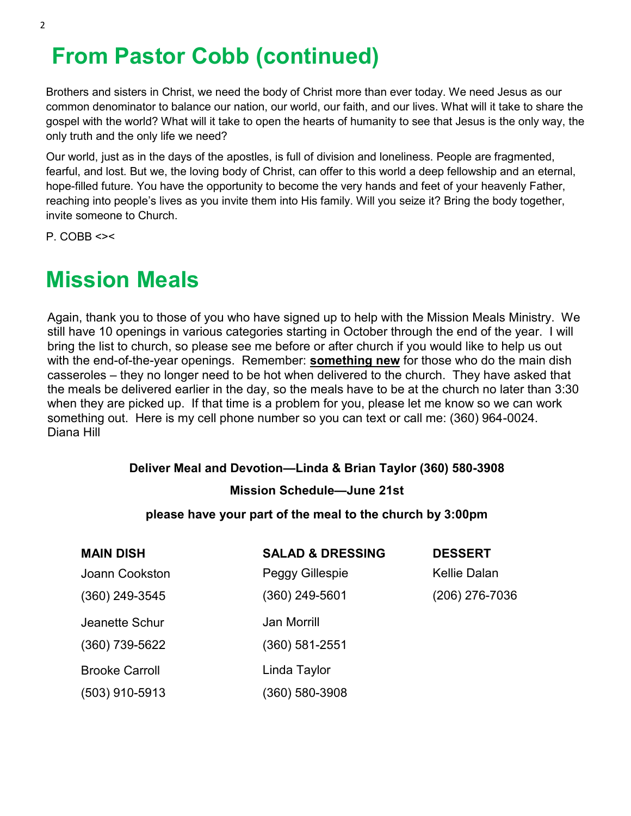# **From Pastor Cobb (continued)**

Brothers and sisters in Christ, we need the body of Christ more than ever today. We need Jesus as our common denominator to balance our nation, our world, our faith, and our lives. What will it take to share the gospel with the world? What will it take to open the hearts of humanity to see that Jesus is the only way, the only truth and the only life we need?

Our world, just as in the days of the apostles, is full of division and loneliness. People are fragmented, fearful, and lost. But we, the loving body of Christ, can offer to this world a deep fellowship and an eternal, hope-filled future. You have the opportunity to become the very hands and feet of your heavenly Father, reaching into people's lives as you invite them into His family. Will you seize it? Bring the body together, invite someone to Church.

 $P. COBB < \gt$ 

## **Mission Meals**

Again, thank you to those of you who have signed up to help with the Mission Meals Ministry. We still have 10 openings in various categories starting in October through the end of the year. I will bring the list to church, so please see me before or after church if you would like to help us out with the end-of-the-year openings. Remember: **something new** for those who do the main dish casseroles – they no longer need to be hot when delivered to the church. They have asked that the meals be delivered earlier in the day, so the meals have to be at the church no later than 3:30 when they are picked up. If that time is a problem for you, please let me know so we can work something out. Here is my cell phone number so you can text or call me: (360) 964-0024. Diana Hill

#### **Deliver Meal and Devotion—Linda & Brian Taylor (360) 580-3908**

#### **Mission Schedule—June 21st**

#### **please have your part of the meal to the church by 3:00pm**

| <b>MAIN DISH</b>      | <b>SALAD &amp; DRESSING</b> | <b>DESSERT</b>      |
|-----------------------|-----------------------------|---------------------|
| Joann Cookston        | Peggy Gillespie             | <b>Kellie Dalan</b> |
| $(360)$ 249-3545      | (360) 249-5601              | (206) 276-7036      |
| Jeanette Schur        | <b>Jan Morrill</b>          |                     |
| $(360)$ 739-5622      | $(360) 581 - 2551$          |                     |
| <b>Brooke Carroll</b> | Linda Taylor                |                     |
| $(503)$ 910-5913      | (360) 580-3908              |                     |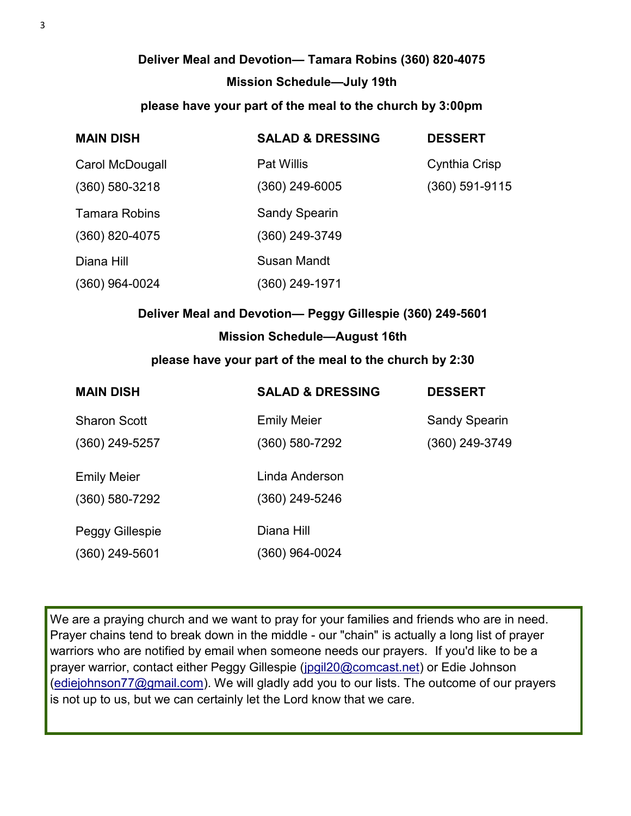### **Deliver Meal and Devotion— Tamara Robins (360) 820-4075 Mission Schedule—July 19th**

#### **please have your part of the meal to the church by 3:00pm**

| <b>MAIN DISH</b>     | <b>SALAD &amp; DRESSING</b> | <b>DESSERT</b>   |
|----------------------|-----------------------------|------------------|
| Carol McDougall      | <b>Pat Willis</b>           | Cynthia Crisp    |
| $(360)$ 580-3218     | (360) 249-6005              | $(360)$ 591-9115 |
| <b>Tamara Robins</b> | <b>Sandy Spearin</b>        |                  |
| $(360)$ 820-4075     | (360) 249-3749              |                  |
| Diana Hill           | <b>Susan Mandt</b>          |                  |
| $(360)$ 964-0024     | (360) 249-1971              |                  |

### **Deliver Meal and Devotion— Peggy Gillespie (360) 249-5601 Mission Schedule—August 16th**

#### **please have your part of the meal to the church by 2:30**

| <b>MAIN DISH</b>    | <b>SALAD &amp; DRESSING</b> | <b>DESSERT</b>       |
|---------------------|-----------------------------|----------------------|
| <b>Sharon Scott</b> | <b>Emily Meier</b>          | <b>Sandy Spearin</b> |
| $(360)$ 249-5257    | (360) 580-7292              | (360) 249-3749       |
| <b>Emily Meier</b>  | Linda Anderson              |                      |
| $(360) 580 - 7292$  | (360) 249-5246              |                      |
| Peggy Gillespie     | Diana Hill                  |                      |
| $(360)$ 249-5601    | (360) 964-0024              |                      |

We are a praying church and we want to pray for your families and friends who are in need. Prayer chains tend to break down in the middle - our "chain" is actually a long list of prayer warriors who are notified by email when someone needs our prayers. If you'd like to be a prayer warrior, contact either Peggy Gillespie [\(jpgil20@comcast.net\)](mailto:jpgil20@comcast.net) or Edie Johnson ([ediejohnson77@gmail.com\).](mailto:ediejohnson77@gmail.com) We will gladly add you to our lists. The outcome of our prayers is not up to us, but we can certainly let the Lord know that we care.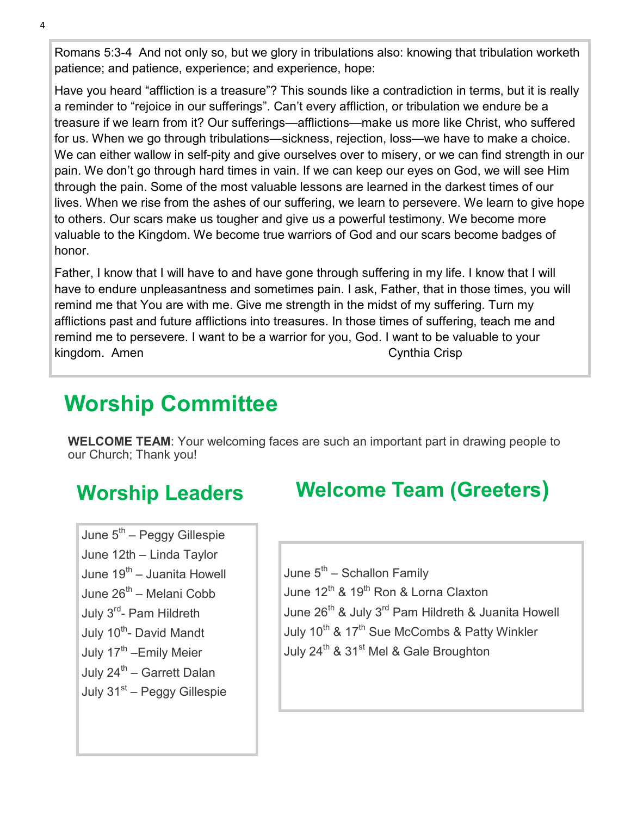Romans 5:3-4 And not only so, but we glory in tribulations also: knowing that tribulation worketh patience; and patience, experience; and experience, hope:

Have you heard "affliction is a treasure"? This sounds like a contradiction in terms, but it is really a reminder to "rejoice in our sufferings". Can't every affliction, or tribulation we endure be a treasure if we learn from it? Our sufferings—afflictions—make us more like Christ, who suffered for us. When we go through tribulations—sickness, rejection, loss—we have to make a choice. We can either wallow in self-pity and give ourselves over to misery, or we can find strength in our pain. We don't go through hard times in vain. If we can keep our eyes on God, we will see Him through the pain. Some of the most valuable lessons are learned in the darkest times of our lives. When we rise from the ashes of our suffering, we learn to persevere. We learn to give hope to others. Our scars make us tougher and give us a powerful testimony. We become more valuable to the Kingdom. We become true warriors of God and our scars become badges of honor.

Father, I know that I will have to and have gone through suffering in my life. I know that I will have to endure unpleasantness and sometimes pain. I ask, Father, that in those times, you will remind me that You are with me. Give me strength in the midst of my suffering. Turn my afflictions past and future afflictions into treasures. In those times of suffering, teach me and remind me to persevere. I want to be a warrior for you, God. I want to be valuable to your kingdom. Amen Cynthia Crisp Cynthia Crisp Cynthia Crisp Cynthia Crisp Cynthia Crisp

# **Worship Committee**

**WELCOME TEAM**: Your welcoming faces are such an important part in drawing people to our Church; Thank you!

### **Worship Leaders**

June 5<sup>th</sup> – Peggy Gillespie June 12th – Linda Taylor June 19<sup>th</sup> – Juanita Howell June 26<sup>th</sup> – Melani Cobb July 3<sup>rd</sup>- Pam Hildreth July 10<sup>th</sup>- David Mandt July 17<sup>th</sup> –Emily Meier July 24<sup>th</sup> – Garrett Dalan July 31<sup>st</sup> – Peggy Gillespie

### **Welcome Team (Greeters)**

June 5<sup>th</sup> – Schallon Family June 12<sup>th</sup> & 19<sup>th</sup> Ron & Lorna Claxton June 26<sup>th</sup> & July 3<sup>rd</sup> Pam Hildreth & Juanita Howell July 10<sup>th</sup> & 17<sup>th</sup> Sue McCombs & Patty Winkler July 24<sup>th</sup> & 31<sup>st</sup> Mel & Gale Broughton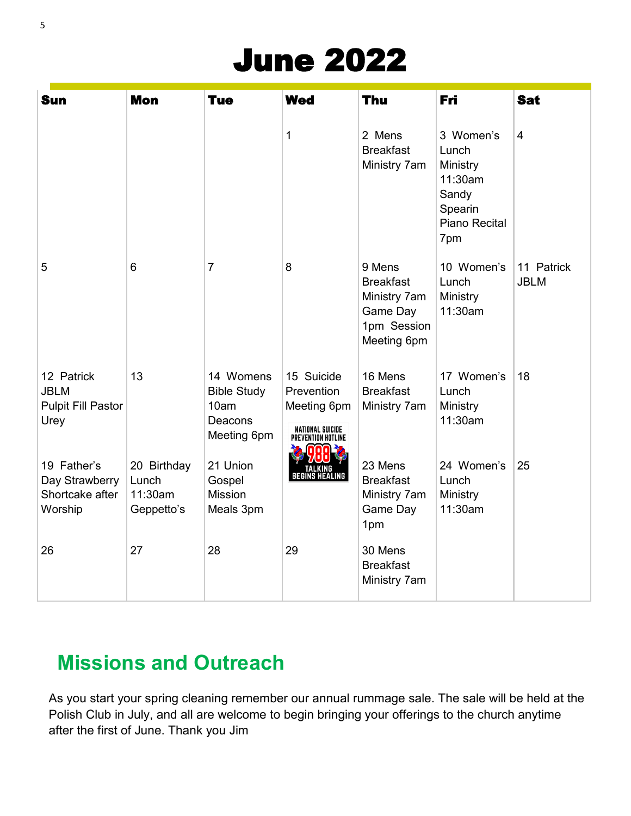# June 2022

| <b>Sun</b>                                                     | <b>Mon</b>                                    | <b>Tue</b>                                                        | <b>Wed</b>                                                                        | Thu                                                                                  | Fri                                                                                   | <b>Sat</b>                |
|----------------------------------------------------------------|-----------------------------------------------|-------------------------------------------------------------------|-----------------------------------------------------------------------------------|--------------------------------------------------------------------------------------|---------------------------------------------------------------------------------------|---------------------------|
|                                                                |                                               |                                                                   | 1                                                                                 | 2 Mens<br><b>Breakfast</b><br>Ministry 7am                                           | 3 Women's<br>Lunch<br>Ministry<br>11:30am<br>Sandy<br>Spearin<br>Piano Recital<br>7pm | $\overline{4}$            |
| 5                                                              | 6                                             | $\overline{7}$                                                    | 8                                                                                 | 9 Mens<br><b>Breakfast</b><br>Ministry 7am<br>Game Day<br>1pm Session<br>Meeting 6pm | 10 Women's<br>Lunch<br>Ministry<br>11:30am                                            | 11 Patrick<br><b>JBLM</b> |
| 12 Patrick<br><b>JBLM</b><br><b>Pulpit Fill Pastor</b><br>Urey | 13                                            | 14 Womens<br><b>Bible Study</b><br>10am<br>Deacons<br>Meeting 6pm | 15 Suicide<br>Prevention<br>Meeting 6pm<br>NATIONAL SUICIDE<br>Prevention Hotline | 16 Mens<br><b>Breakfast</b><br>Ministry 7am                                          | 17 Women's<br>Lunch<br>Ministry<br>11:30am                                            | 18                        |
| 19 Father's<br>Day Strawberry<br>Shortcake after<br>Worship    | 20 Birthday<br>Lunch<br>11:30am<br>Geppetto's | 21 Union<br>Gospel<br><b>Mission</b><br>Meals 3pm                 | TALKING<br>Begins Healing                                                         | 23 Mens<br><b>Breakfast</b><br>Ministry 7am<br>Game Day<br>1pm                       | 24 Women's<br>Lunch<br>Ministry<br>11:30am                                            | 25                        |
| 26                                                             | 27                                            | 28                                                                | 29                                                                                | 30 Mens<br><b>Breakfast</b><br>Ministry 7am                                          |                                                                                       |                           |

## **Missions and Outreach**

As you start your spring cleaning remember our annual rummage sale. The sale will be held at the Polish Club in July, and all are welcome to begin bringing your offerings to the church anytime after the first of June. Thank you Jim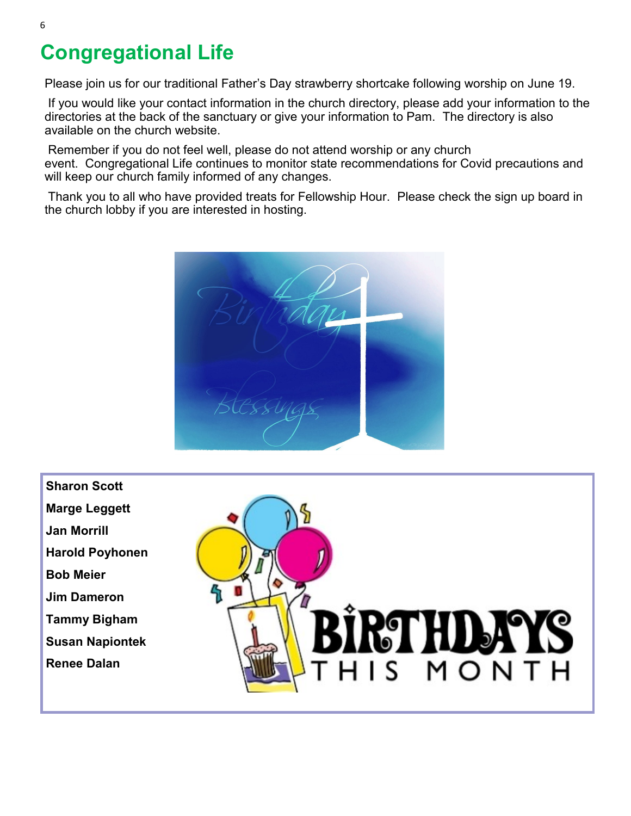### **Congregational Life**

Please join us for our traditional Father's Day strawberry shortcake following worship on June 19.

If you would like your contact information in the church directory, please add your information to the directories at the back of the sanctuary or give your information to Pam. The directory is also available on the church website.

Remember if you do not feel well, please do not attend worship or any church event. Congregational Life continues to monitor state recommendations for Covid precautions and will keep our church family informed of any changes.

Thank you to all who have provided treats for Fellowship Hour. Please check the sign up board in the church lobby if you are interested in hosting.



- **Sharon Scott**
- **Marge Leggett**
- **Jan Morrill**
- **Harold Poyhonen**
- **Bob Meier**
- **Jim Dameron**
- **Tammy Bigham**
- **Susan Napiontek**
- **Renee Dalan**